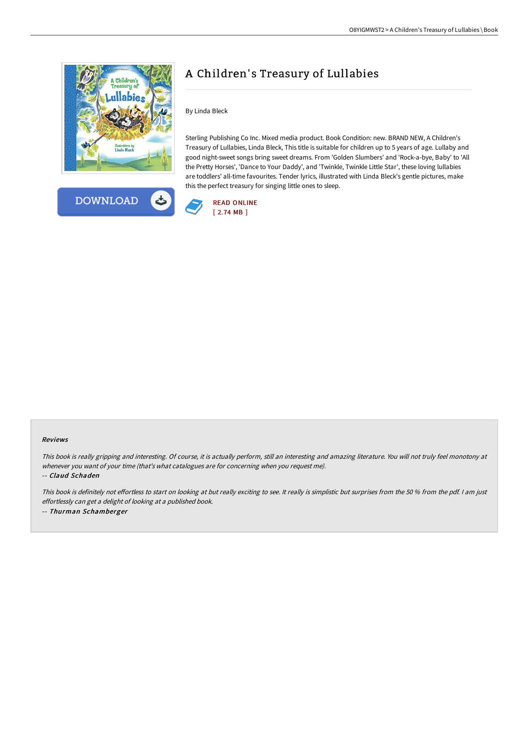



## A Children's Treasury of Lullabies

By Linda Bleck

Sterling Publishing Co Inc. Mixed media product. Book Condition: new. BRAND NEW, A Children's Treasury of Lullabies, Linda Bleck, This title is suitable for children up to 5 years of age. Lullaby and good night-sweet songs bring sweet dreams. From 'Golden Slumbers' and 'Rock-a-bye, Baby' to 'All the Pretty Horses', 'Dance to Your Daddy', and 'Twinkle, Twinkle Little Star', these loving lullabies are toddlers' all-time favourites. Tender lyrics, illustrated with Linda Bleck's gentle pictures, make this the perfect treasury for singing little ones to sleep.



## Reviews

This book is really gripping and interesting. Of course, it is actually perform, still an interesting and amazing literature. You will not truly feel monotony at whenever you want of your time (that's what catalogues are for concerning when you request me).

-- Claud Schaden

This book is definitely not effortless to start on looking at but really exciting to see. It really is simplistic but surprises from the 50 % from the pdf. I am just effortlessly can get <sup>a</sup> delight of looking at <sup>a</sup> published book. -- Thurman Schamberger